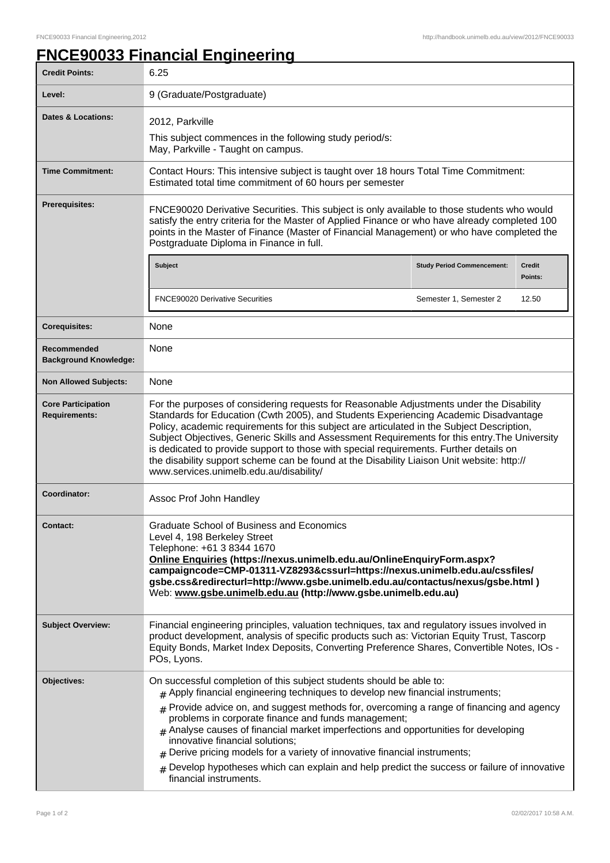## **FNCE90033 Financial Engineering**

| <b>Credit Points:</b>                             | 6.25                                                                                                                                                                                                                                                                                                                                                                                                                                                                                                                                                                                                                                           |                                   |                          |
|---------------------------------------------------|------------------------------------------------------------------------------------------------------------------------------------------------------------------------------------------------------------------------------------------------------------------------------------------------------------------------------------------------------------------------------------------------------------------------------------------------------------------------------------------------------------------------------------------------------------------------------------------------------------------------------------------------|-----------------------------------|--------------------------|
| Level:                                            | 9 (Graduate/Postgraduate)                                                                                                                                                                                                                                                                                                                                                                                                                                                                                                                                                                                                                      |                                   |                          |
| <b>Dates &amp; Locations:</b>                     | 2012, Parkville<br>This subject commences in the following study period/s:<br>May, Parkville - Taught on campus.                                                                                                                                                                                                                                                                                                                                                                                                                                                                                                                               |                                   |                          |
| <b>Time Commitment:</b>                           | Contact Hours: This intensive subject is taught over 18 hours Total Time Commitment:<br>Estimated total time commitment of 60 hours per semester                                                                                                                                                                                                                                                                                                                                                                                                                                                                                               |                                   |                          |
| <b>Prerequisites:</b>                             | FNCE90020 Derivative Securities. This subject is only available to those students who would<br>satisfy the entry criteria for the Master of Applied Finance or who have already completed 100<br>points in the Master of Finance (Master of Financial Management) or who have completed the<br>Postgraduate Diploma in Finance in full.                                                                                                                                                                                                                                                                                                        |                                   |                          |
|                                                   | Subject                                                                                                                                                                                                                                                                                                                                                                                                                                                                                                                                                                                                                                        | <b>Study Period Commencement:</b> | <b>Credit</b><br>Points: |
|                                                   | <b>FNCE90020 Derivative Securities</b>                                                                                                                                                                                                                                                                                                                                                                                                                                                                                                                                                                                                         | Semester 1, Semester 2            | 12.50                    |
| <b>Corequisites:</b>                              | None                                                                                                                                                                                                                                                                                                                                                                                                                                                                                                                                                                                                                                           |                                   |                          |
| Recommended<br><b>Background Knowledge:</b>       | None                                                                                                                                                                                                                                                                                                                                                                                                                                                                                                                                                                                                                                           |                                   |                          |
| <b>Non Allowed Subjects:</b>                      | None                                                                                                                                                                                                                                                                                                                                                                                                                                                                                                                                                                                                                                           |                                   |                          |
| <b>Core Participation</b><br><b>Requirements:</b> | For the purposes of considering requests for Reasonable Adjustments under the Disability<br>Standards for Education (Cwth 2005), and Students Experiencing Academic Disadvantage<br>Policy, academic requirements for this subject are articulated in the Subject Description,<br>Subject Objectives, Generic Skills and Assessment Requirements for this entry. The University<br>is dedicated to provide support to those with special requirements. Further details on<br>the disability support scheme can be found at the Disability Liaison Unit website: http://<br>www.services.unimelb.edu.au/disability/                             |                                   |                          |
| Coordinator:                                      | Assoc Prof John Handley                                                                                                                                                                                                                                                                                                                                                                                                                                                                                                                                                                                                                        |                                   |                          |
| <b>Contact:</b>                                   | Graduate School of Business and Economics<br>Level 4, 198 Berkeley Street<br>Telephone: +61 3 8344 1670<br>Online Enquiries (https://nexus.unimelb.edu.au/OnlineEnquiryForm.aspx?<br>campaigncode=CMP-01311-VZ8293&cssurl=https://nexus.unimelb.edu.au/cssfiles/<br>gsbe.css&redirecturl=http://www.gsbe.unimelb.edu.au/contactus/nexus/gsbe.html)<br>Web: www.gsbe.unimelb.edu.au (http://www.gsbe.unimelb.edu.au)                                                                                                                                                                                                                            |                                   |                          |
| <b>Subject Overview:</b>                          | Financial engineering principles, valuation techniques, tax and regulatory issues involved in<br>product development, analysis of specific products such as: Victorian Equity Trust, Tascorp<br>Equity Bonds, Market Index Deposits, Converting Preference Shares, Convertible Notes, IOs -<br>POs, Lyons.                                                                                                                                                                                                                                                                                                                                     |                                   |                          |
| Objectives:                                       | On successful completion of this subject students should be able to:<br>$#$ Apply financial engineering techniques to develop new financial instruments;<br>$#$ Provide advice on, and suggest methods for, overcoming a range of financing and agency<br>problems in corporate finance and funds management;<br>Analyse causes of financial market imperfections and opportunities for developing<br>innovative financial solutions;<br>Derive pricing models for a variety of innovative financial instruments;<br>Develop hypotheses which can explain and help predict the success or failure of innovative<br>#<br>financial instruments. |                                   |                          |